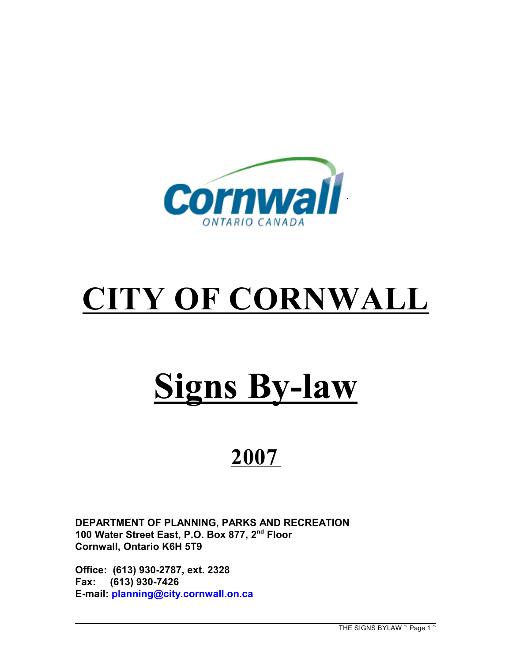

# **CITY OF CORNWALL**

# **Signs By-law**

# **2007**

**DEPARTMENT OF PLANNING, PARKS AND RECREATION** 100 Water Street East, P.O. Box 877, 2<sup>nd</sup> Floor **Cornwall, Ontario K6H 5T9**

**Office: (613) 930-2787, ext. 2328 Fax: (613) 930-7426 E-mail: [planning@city.cornwall.on.ca](mailto:planning@city.cornwall.on.ca)**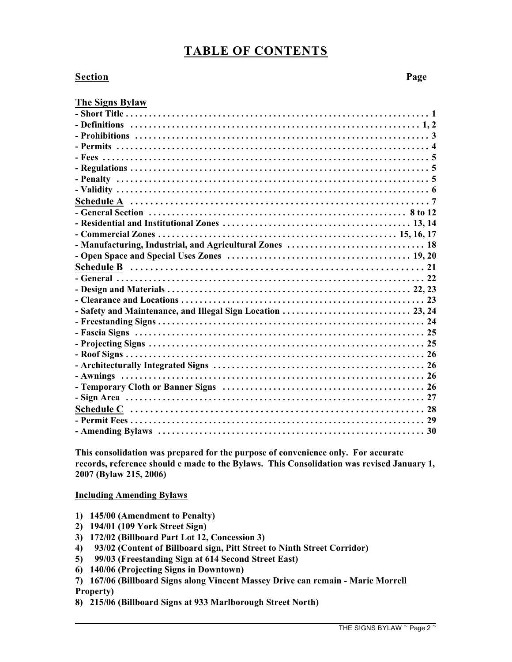### **TABLE OF CONTENTS**

#### **Section Page**

#### **The Signs Bylaw**

**This consolidation was prepared for the purpose of convenience only. For accurate records, reference should e made to the Bylaws. This Consolidation was revised January 1, 2007 (Bylaw 215, 2006)**

#### **Including Amending Bylaws**

- **1) 145/00 (Amendment to Penalty)**
- **2) 194/01 (109 York Street Sign)**
- **3) 172/02 (Billboard Part Lot 12, Concession 3)**
- **4) 93/02 (Content of Billboard sign, Pitt Street to Ninth Street Corridor)**
- **5) 99/03 (Freestanding Sign at 614 Second Street East)**
- **6) 140/06 (Projecting Signs in Downtown)**
- **7) 167/06 (Billboard Signs along Vincent Massey Drive can remain Marie Morrell**

**Property)**

**8) 215/06 (Billboard Signs at 933 Marlborough Street North)**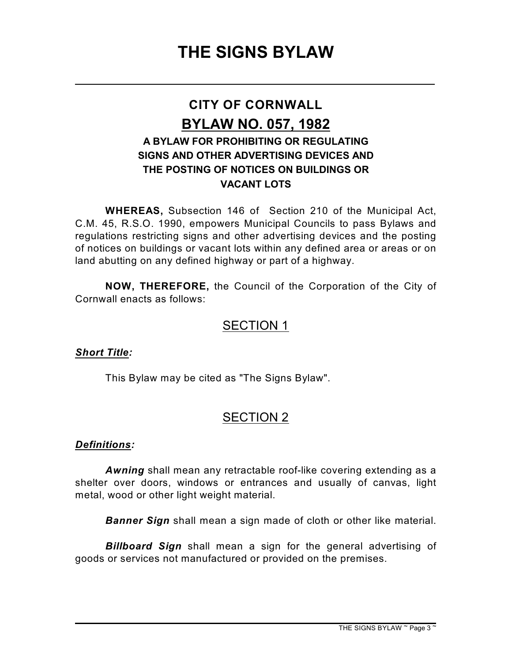\_\_\_\_\_\_\_\_\_\_\_\_\_\_\_\_\_\_\_\_\_\_\_\_\_\_\_\_\_\_\_\_\_\_\_\_\_\_\_\_\_\_\_\_\_\_\_\_\_\_\_\_\_\_\_\_\_\_\_\_\_\_\_\_

# **CITY OF CORNWALL BYLAW NO. 057, 1982 A BYLAW FOR PROHIBITING OR REGULATING SIGNS AND OTHER ADVERTISING DEVICES AND THE POSTING OF NOTICES ON BUILDINGS OR VACANT LOTS**

**WHEREAS,** Subsection 146 of Section 210 of the Municipal Act, C.M. 45, R.S.O. 1990, empowers Municipal Councils to pass Bylaws and regulations restricting signs and other advertising devices and the posting of notices on buildings or vacant lots within any defined area or areas or on land abutting on any defined highway or part of a highway.

**NOW, THEREFORE,** the Council of the Corporation of the City of Cornwall enacts as follows:

# SECTION 1

#### *Short Title:*

This Bylaw may be cited as "The Signs Bylaw".

## SECTION 2

#### *Definitions:*

*Awning* shall mean any retractable roof-like covering extending as a shelter over doors, windows or entrances and usually of canvas, light metal, wood or other light weight material.

*Banner Sign* shall mean a sign made of cloth or other like material.

*Billboard Sign* shall mean a sign for the general advertising of goods or services not manufactured or provided on the premises.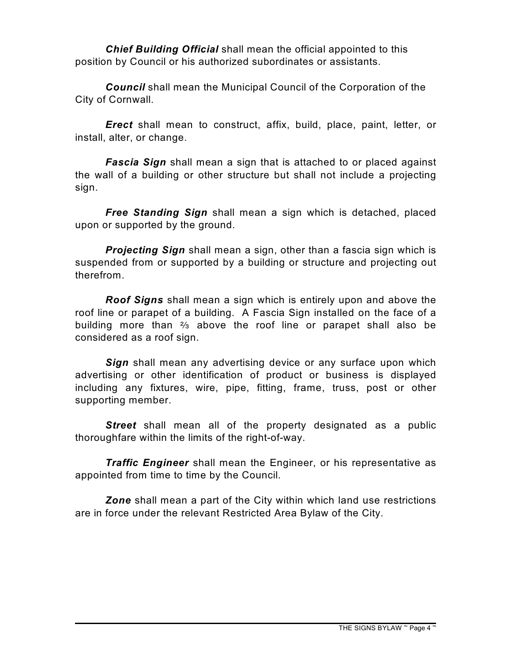*Chief Building Official* shall mean the official appointed to this position by Council or his authorized subordinates or assistants.

*Council* shall mean the Municipal Council of the Corporation of the City of Cornwall.

*Erect* shall mean to construct, affix, build, place, paint, letter, or install, alter, or change.

*Fascia Sign* shall mean a sign that is attached to or placed against the wall of a building or other structure but shall not include a projecting sign.

*Free Standing Sign* shall mean a sign which is detached, placed upon or supported by the ground.

*Projecting Sign* shall mean a sign, other than a fascia sign which is suspended from or supported by a building or structure and projecting out therefrom.

*Roof Signs* shall mean a sign which is entirely upon and above the roof line or parapet of a building. A Fascia Sign installed on the face of a building more than  $\frac{2}{3}$  above the roof line or parapet shall also be considered as a roof sign.

*Sign* shall mean any advertising device or any surface upon which advertising or other identification of product or business is displayed including any fixtures, wire, pipe, fitting, frame, truss, post or other supporting member.

*Street* shall mean all of the property designated as a public thoroughfare within the limits of the right-of-way.

*Traffic Engineer* shall mean the Engineer, or his representative as appointed from time to time by the Council.

*Zone* shall mean a part of the City within which land use restrictions are in force under the relevant Restricted Area Bylaw of the City.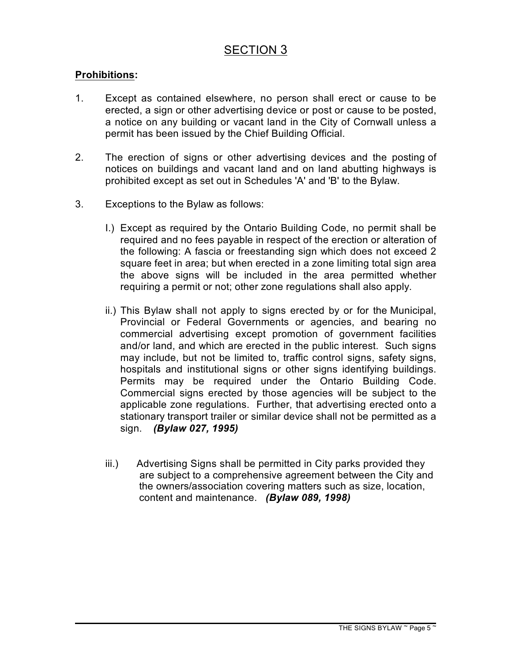#### **Prohibitions:**

- 1. Except as contained elsewhere, no person shall erect or cause to be erected, a sign or other advertising device or post or cause to be posted, a notice on any building or vacant land in the City of Cornwall unless a permit has been issued by the Chief Building Official.
- 2. The erection of signs or other advertising devices and the posting of notices on buildings and vacant land and on land abutting highways is prohibited except as set out in Schedules 'A' and 'B' to the Bylaw.
- 3. Exceptions to the Bylaw as follows:
	- I.) Except as required by the Ontario Building Code, no permit shall be required and no fees payable in respect of the erection or alteration of the following: A fascia or freestanding sign which does not exceed 2 square feet in area; but when erected in a zone limiting total sign area the above signs will be included in the area permitted whether requiring a permit or not; other zone regulations shall also apply.
	- ii.) This Bylaw shall not apply to signs erected by or for the Municipal, Provincial or Federal Governments or agencies, and bearing no commercial advertising except promotion of government facilities and/or land, and which are erected in the public interest. Such signs may include, but not be limited to, traffic control signs, safety signs, hospitals and institutional signs or other signs identifying buildings. Permits may be required under the Ontario Building Code. Commercial signs erected by those agencies will be subject to the applicable zone regulations. Further, that advertising erected onto a stationary transport trailer or similar device shall not be permitted as a sign. *(Bylaw 027, 1995)*
	- iii.) Advertising Signs shall be permitted in City parks provided they are subject to a comprehensive agreement between the City and the owners/association covering matters such as size, location, content and maintenance. *(Bylaw 089, 1998)*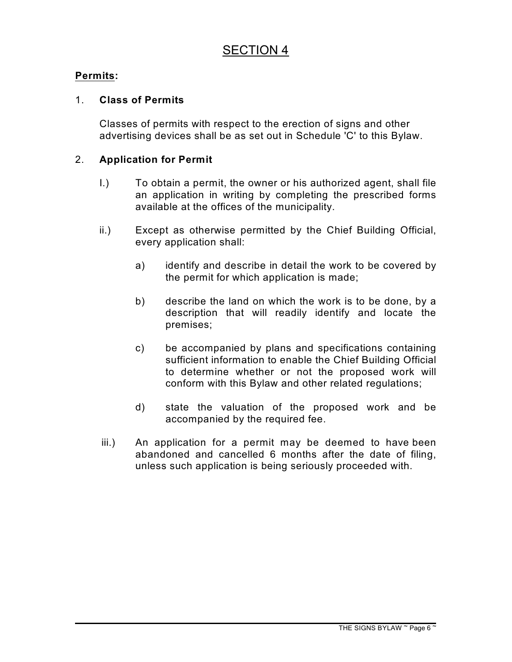#### **Permits:**

#### 1. **Class of Permits**

Classes of permits with respect to the erection of signs and other advertising devices shall be as set out in Schedule 'C' to this Bylaw.

#### 2. **Application for Permit**

- I.) To obtain a permit, the owner or his authorized agent, shall file an application in writing by completing the prescribed forms available at the offices of the municipality.
- ii.) Except as otherwise permitted by the Chief Building Official, every application shall:
	- a) identify and describe in detail the work to be covered by the permit for which application is made;
	- b) describe the land on which the work is to be done, by a description that will readily identify and locate the premises;
	- c) be accompanied by plans and specifications containing sufficient information to enable the Chief Building Official to determine whether or not the proposed work will conform with this Bylaw and other related regulations;
	- d) state the valuation of the proposed work and be accompanied by the required fee.
- iii.) An application for a permit may be deemed to have been abandoned and cancelled 6 months after the date of filing, unless such application is being seriously proceeded with.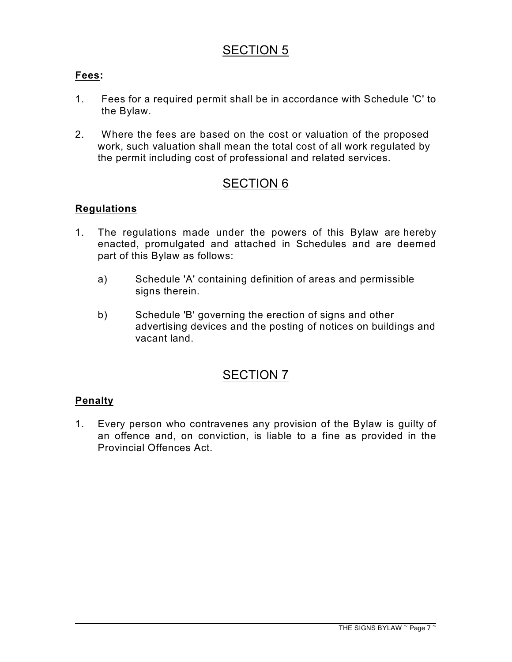#### **Fees:**

- 1. Fees for a required permit shall be in accordance with Schedule 'C' to the Bylaw.
- 2. Where the fees are based on the cost or valuation of the proposed work, such valuation shall mean the total cost of all work regulated by the permit including cost of professional and related services.

### SECTION 6

#### **Regulations**

- 1. The regulations made under the powers of this Bylaw are hereby enacted, promulgated and attached in Schedules and are deemed part of this Bylaw as follows:
	- a) Schedule 'A' containing definition of areas and permissible signs therein.
	- b) Schedule 'B' governing the erection of signs and other advertising devices and the posting of notices on buildings and vacant land.

## SECTION 7

#### **Penalty**

1. Every person who contravenes any provision of the Bylaw is guilty of an offence and, on conviction, is liable to a fine as provided in the Provincial Offences Act.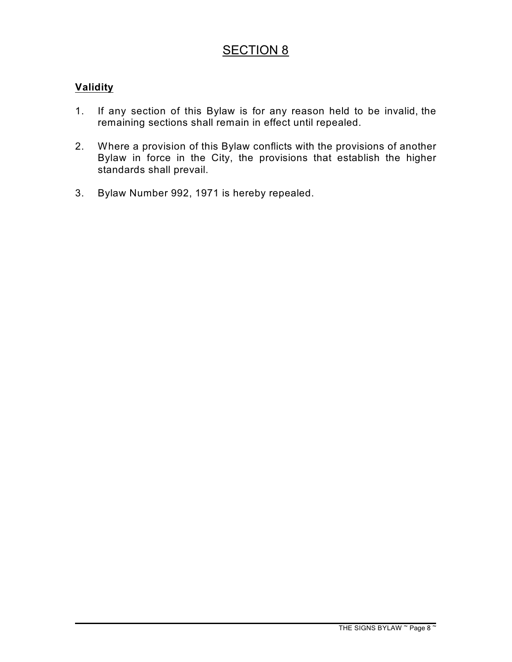#### **Validity**

- 1. If any section of this Bylaw is for any reason held to be invalid, the remaining sections shall remain in effect until repealed.
- 2. Where a provision of this Bylaw conflicts with the provisions of another Bylaw in force in the City, the provisions that establish the higher standards shall prevail.
- 3. Bylaw Number 992, 1971 is hereby repealed.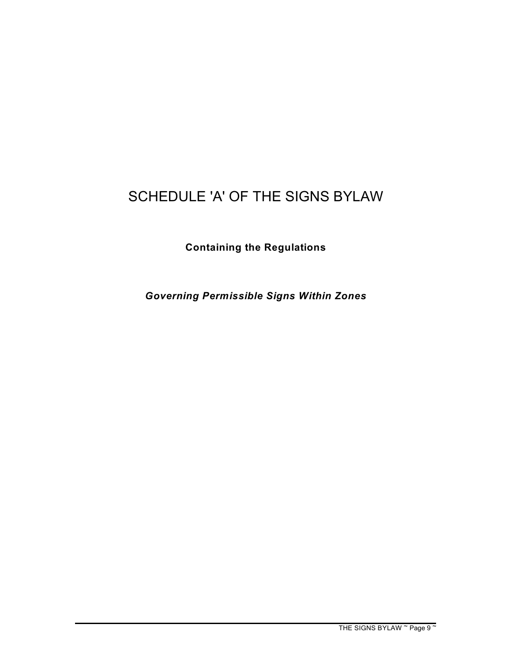# SCHEDULE 'A' OF THE SIGNS BYLAW

**Containing the Regulations**

*Governing Permissible Signs Within Zones*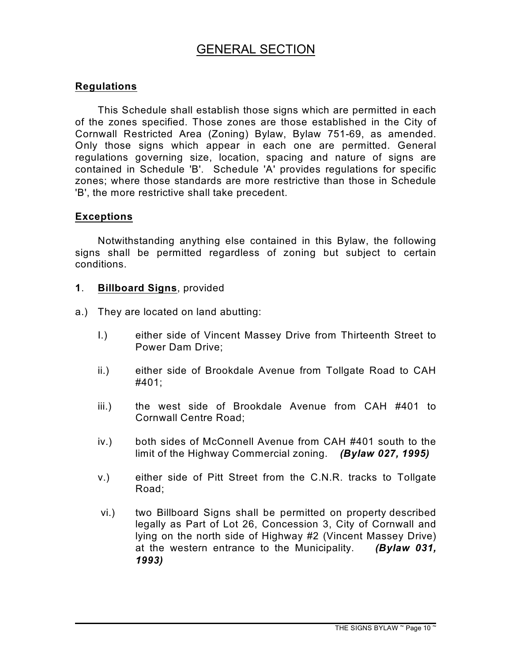# GENERAL SECTION

#### **Regulations**

This Schedule shall establish those signs which are permitted in each of the zones specified. Those zones are those established in the City of Cornwall Restricted Area (Zoning) Bylaw, Bylaw 751-69, as amended. Only those signs which appear in each one are permitted. General regulations governing size, location, spacing and nature of signs are contained in Schedule 'B'. Schedule 'A' provides regulations for specific zones; where those standards are more restrictive than those in Schedule 'B', the more restrictive shall take precedent.

#### **Exceptions**

Notwithstanding anything else contained in this Bylaw, the following signs shall be permitted regardless of zoning but subject to certain conditions.

- **1**. **Billboard Signs**, provided
- a.) They are located on land abutting:
	- I.) either side of Vincent Massey Drive from Thirteenth Street to Power Dam Drive;
	- ii.) either side of Brookdale Avenue from Tollgate Road to CAH #401;
	- iii.) the west side of Brookdale Avenue from CAH #401 to Cornwall Centre Road;
	- iv.) both sides of McConnell Avenue from CAH #401 south to the limit of the Highway Commercial zoning. *(Bylaw 027, 1995)*
	- v.) either side of Pitt Street from the C.N.R. tracks to Tollgate Road;
	- vi.) two Billboard Signs shall be permitted on property described legally as Part of Lot 26, Concession 3, City of Cornwall and lying on the north side of Highway #2 (Vincent Massey Drive) at the western entrance to the Municipality. *(Bylaw 031, 1993)*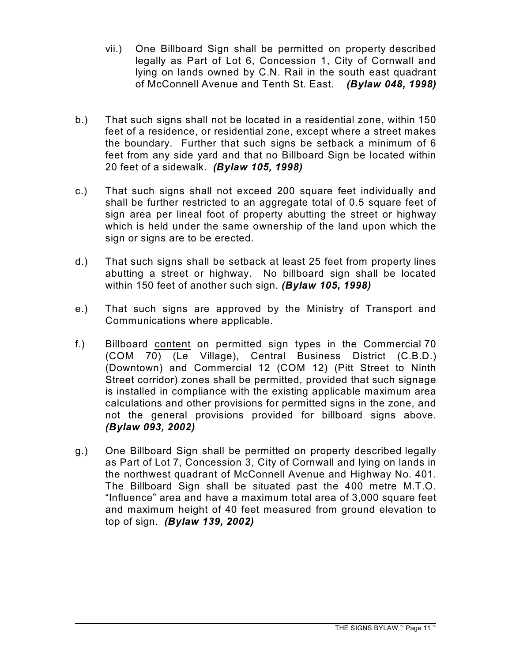- vii.) One Billboard Sign shall be permitted on property described legally as Part of Lot 6, Concession 1, City of Cornwall and lying on lands owned by C.N. Rail in the south east quadrant of McConnell Avenue and Tenth St. East. *(Bylaw 048, 1998)*
- b.) That such signs shall not be located in a residential zone, within 150 feet of a residence, or residential zone, except where a street makes the boundary. Further that such signs be setback a minimum of 6 feet from any side yard and that no Billboard Sign be located within 20 feet of a sidewalk. *(Bylaw 105, 1998)*
- c.) That such signs shall not exceed 200 square feet individually and shall be further restricted to an aggregate total of 0.5 square feet of sign area per lineal foot of property abutting the street or highway which is held under the same ownership of the land upon which the sign or signs are to be erected.
- d.) That such signs shall be setback at least 25 feet from property lines abutting a street or highway. No billboard sign shall be located within 150 feet of another such sign. *(Bylaw 105, 1998)*
- e.) That such signs are approved by the Ministry of Transport and Communications where applicable.
- f.) Billboard content on permitted sign types in the Commercial 70 (COM 70) (Le Village), Central Business District (C.B.D.) (Downtown) and Commercial 12 (COM 12) (Pitt Street to Ninth Street corridor) zones shall be permitted, provided that such signage is installed in compliance with the existing applicable maximum area calculations and other provisions for permitted signs in the zone, and not the general provisions provided for billboard signs above. *(Bylaw 093, 2002)*
- g.) One Billboard Sign shall be permitted on property described legally as Part of Lot 7, Concession 3, City of Cornwall and lying on lands in the northwest quadrant of McConnell Avenue and Highway No. 401. The Billboard Sign shall be situated past the 400 metre M.T.O. "Influence" area and have a maximum total area of 3,000 square feet and maximum height of 40 feet measured from ground elevation to top of sign. *(Bylaw 139, 2002)*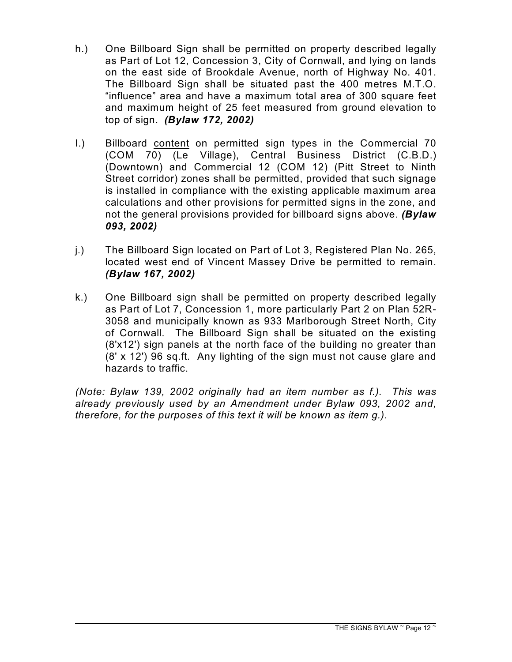- h.) One Billboard Sign shall be permitted on property described legally as Part of Lot 12, Concession 3, City of Cornwall, and lying on lands on the east side of Brookdale Avenue, north of Highway No. 401. The Billboard Sign shall be situated past the 400 metres M.T.O. "influence" area and have a maximum total area of 300 square feet and maximum height of 25 feet measured from ground elevation to top of sign. *(Bylaw 172, 2002)*
- I.) Billboard content on permitted sign types in the Commercial 70 (COM 70) (Le Village), Central Business District (C.B.D.) (Downtown) and Commercial 12 (COM 12) (Pitt Street to Ninth Street corridor) zones shall be permitted, provided that such signage is installed in compliance with the existing applicable maximum area calculations and other provisions for permitted signs in the zone, and not the general provisions provided for billboard signs above. *(Bylaw 093, 2002)*
- j.) The Billboard Sign located on Part of Lot 3, Registered Plan No. 265, located west end of Vincent Massey Drive be permitted to remain. *(Bylaw 167, 2002)*
- k.) One Billboard sign shall be permitted on property described legally as Part of Lot 7, Concession 1, more particularly Part 2 on Plan 52R-3058 and municipally known as 933 Marlborough Street North, City of Cornwall. The Billboard Sign shall be situated on the existing (8'x12') sign panels at the north face of the building no greater than (8' x 12') 96 sq.ft. Any lighting of the sign must not cause glare and hazards to traffic.

*(Note: Bylaw 139, 2002 originally had an item number as f.). This was already previously used by an Amendment under Bylaw 093, 2002 and, therefore, for the purposes of this text it will be known as item g.).*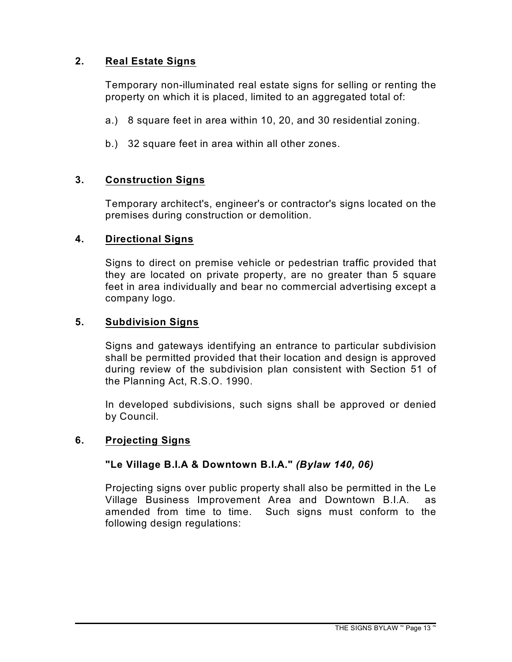#### **2. Real Estate Signs**

Temporary non-illuminated real estate signs for selling or renting the property on which it is placed, limited to an aggregated total of:

- a.) 8 square feet in area within 10, 20, and 30 residential zoning.
- b.) 32 square feet in area within all other zones.

#### **3. Construction Signs**

Temporary architect's, engineer's or contractor's signs located on the premises during construction or demolition.

#### **4. Directional Signs**

Signs to direct on premise vehicle or pedestrian traffic provided that they are located on private property, are no greater than 5 square feet in area individually and bear no commercial advertising except a company logo.

#### **5. Subdivision Signs**

Signs and gateways identifying an entrance to particular subdivision shall be permitted provided that their location and design is approved during review of the subdivision plan consistent with Section 51 of the Planning Act, R.S.O. 1990.

In developed subdivisions, such signs shall be approved or denied by Council.

#### **6. Projecting Signs**

#### **"Le Village B.I.A & Downtown B.I.A."** *(Bylaw 140, 06)*

Projecting signs over public property shall also be permitted in the Le Village Business Improvement Area and Downtown B.I.A. as amended from time to time. Such signs must conform to the following design regulations: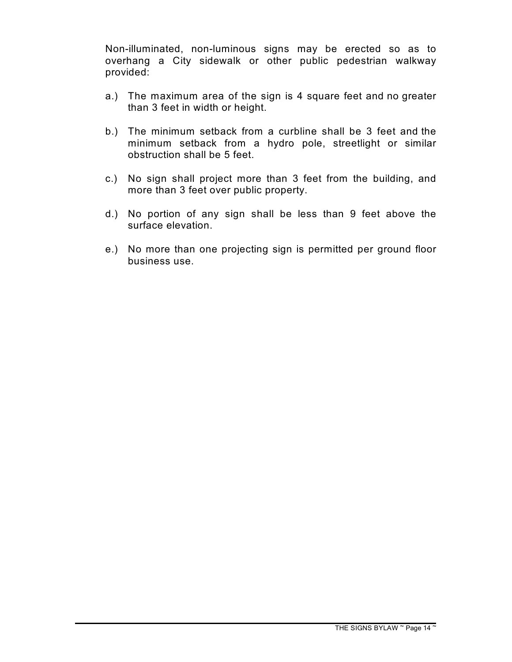Non-illuminated, non-luminous signs may be erected so as to overhang a City sidewalk or other public pedestrian walkway provided:

- a.) The maximum area of the sign is 4 square feet and no greater than 3 feet in width or height.
- b.) The minimum setback from a curbline shall be 3 feet and the minimum setback from a hydro pole, streetlight or similar obstruction shall be 5 feet.
- c.) No sign shall project more than 3 feet from the building, and more than 3 feet over public property.
- d.) No portion of any sign shall be less than 9 feet above the surface elevation.
- e.) No more than one projecting sign is permitted per ground floor business use.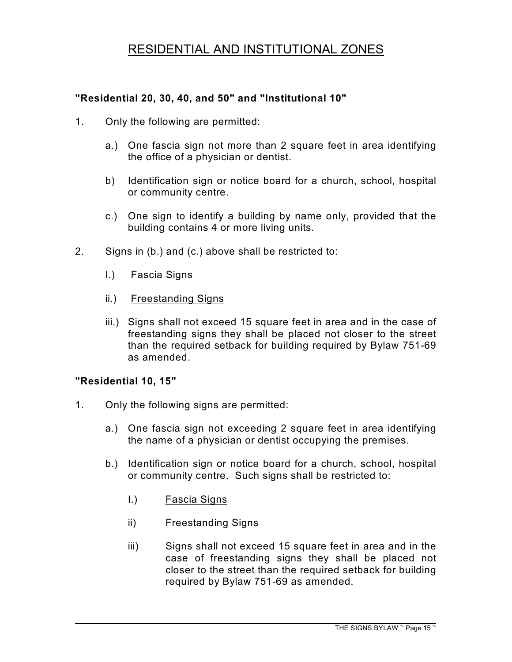# RESIDENTIAL AND INSTITUTIONAL ZONES

#### **"Residential 20, 30, 40, and 50" and "Institutional 10"**

- 1. Only the following are permitted:
	- a.) One fascia sign not more than 2 square feet in area identifying the office of a physician or dentist.
	- b) Identification sign or notice board for a church, school, hospital or community centre.
	- c.) One sign to identify a building by name only, provided that the building contains 4 or more living units.
- 2. Signs in (b.) and (c.) above shall be restricted to:
	- I.) Fascia Signs
	- ii.) Freestanding Signs
	- iii.) Signs shall not exceed 15 square feet in area and in the case of freestanding signs they shall be placed not closer to the street than the required setback for building required by Bylaw 751-69 as amended.

#### **"Residential 10, 15"**

- 1. Only the following signs are permitted:
	- a.) One fascia sign not exceeding 2 square feet in area identifying the name of a physician or dentist occupying the premises.
	- b.) Identification sign or notice board for a church, school, hospital or community centre. Such signs shall be restricted to:
		- I.) Fascia Signs
		- ii) Freestanding Signs
		- iii) Signs shall not exceed 15 square feet in area and in the case of freestanding signs they shall be placed not closer to the street than the required setback for building required by Bylaw 751-69 as amended.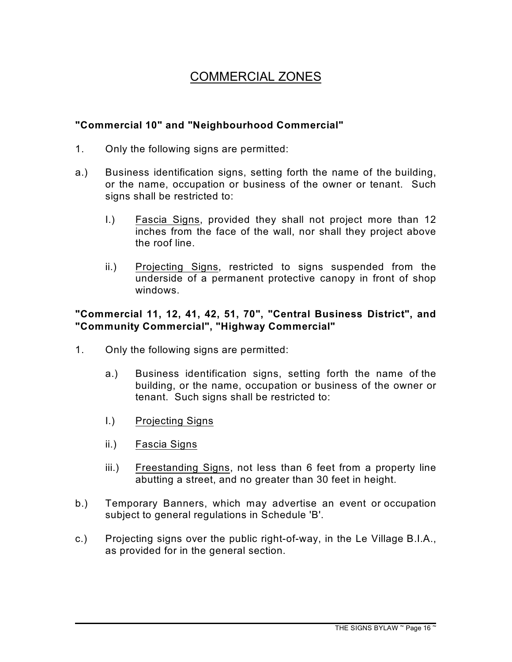# COMMERCIAL ZONES

#### **"Commercial 10" and "Neighbourhood Commercial"**

- 1. Only the following signs are permitted:
- a.) Business identification signs, setting forth the name of the building, or the name, occupation or business of the owner or tenant. Such signs shall be restricted to:
	- I.) Fascia Signs, provided they shall not project more than 12 inches from the face of the wall, nor shall they project above the roof line.
	- ii.) Projecting Signs, restricted to signs suspended from the underside of a permanent protective canopy in front of shop windows.

#### **"Commercial 11, 12, 41, 42, 51, 70", "Central Business District", and "Community Commercial", "Highway Commercial"**

- 1. Only the following signs are permitted:
	- a.) Business identification signs, setting forth the name of the building, or the name, occupation or business of the owner or tenant. Such signs shall be restricted to:
	- I.) Projecting Signs
	- ii.) Fascia Signs
	- iii.) Freestanding Signs, not less than 6 feet from a property line abutting a street, and no greater than 30 feet in height.
- b.) Temporary Banners, which may advertise an event or occupation subject to general regulations in Schedule 'B'.
- c.) Projecting signs over the public right-of-way, in the Le Village B.I.A., as provided for in the general section.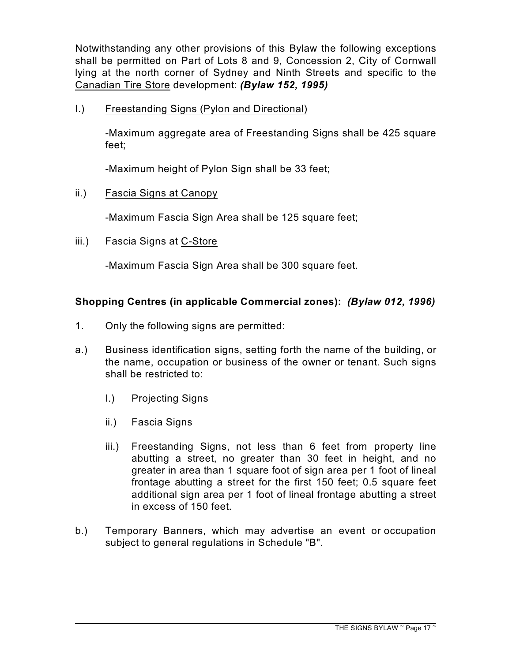Notwithstanding any other provisions of this Bylaw the following exceptions shall be permitted on Part of Lots 8 and 9, Concession 2, City of Cornwall lying at the north corner of Sydney and Ninth Streets and specific to the Canadian Tire Store development: *(Bylaw 152, 1995)*

I.) Freestanding Signs (Pylon and Directional)

-Maximum aggregate area of Freestanding Signs shall be 425 square feet;

-Maximum height of Pylon Sign shall be 33 feet;

ii.) Fascia Signs at Canopy

-Maximum Fascia Sign Area shall be 125 square feet;

iii.) Fascia Signs at C-Store

-Maximum Fascia Sign Area shall be 300 square feet.

#### **Shopping Centres (in applicable Commercial zones):** *(Bylaw 012, 1996)*

- 1. Only the following signs are permitted:
- a.) Business identification signs, setting forth the name of the building, or the name, occupation or business of the owner or tenant. Such signs shall be restricted to:
	- I.) Projecting Signs
	- ii.) Fascia Signs
	- iii.) Freestanding Signs, not less than 6 feet from property line abutting a street, no greater than 30 feet in height, and no greater in area than 1 square foot of sign area per 1 foot of lineal frontage abutting a street for the first 150 feet; 0.5 square feet additional sign area per 1 foot of lineal frontage abutting a street in excess of 150 feet.
- b.) Temporary Banners, which may advertise an event or occupation subject to general regulations in Schedule "B".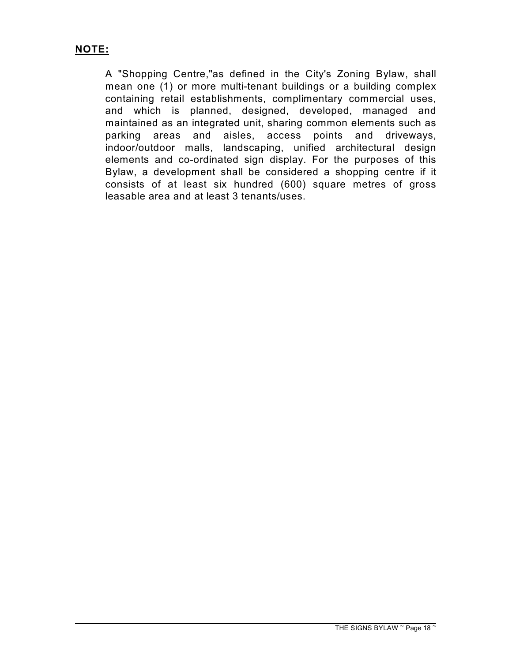#### **NOTE:**

A "Shopping Centre,"as defined in the City's Zoning Bylaw, shall mean one (1) or more multi-tenant buildings or a building complex containing retail establishments, complimentary commercial uses, and which is planned, designed, developed, managed and maintained as an integrated unit, sharing common elements such as parking areas and aisles, access points and driveways, indoor/outdoor malls, landscaping, unified architectural design elements and co-ordinated sign display. For the purposes of this Bylaw, a development shall be considered a shopping centre if it consists of at least six hundred (600) square metres of gross leasable area and at least 3 tenants/uses.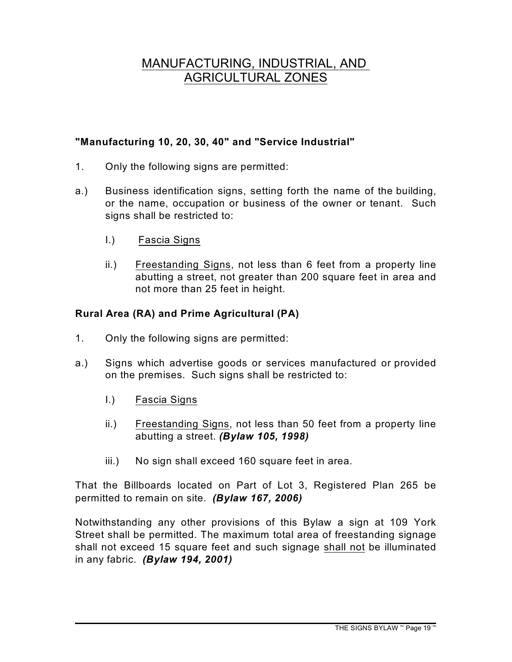# MANUFACTURING, INDUSTRIAL, AND AGRICULTURAL ZONES

#### **"Manufacturing 10, 20, 30, 40" and "Service Industrial"**

- 1. Only the following signs are permitted:
- a.) Business identification signs, setting forth the name of the building, or the name, occupation or business of the owner or tenant. Such signs shall be restricted to:
	- I.) Fascia Signs
	- ii.) Freestanding Signs, not less than 6 feet from a property line abutting a street, not greater than 200 square feet in area and not more than 25 feet in height.

#### **Rural Area (RA) and Prime Agricultural (PA)**

- 1. Only the following signs are permitted:
- a.) Signs which advertise goods or services manufactured or provided on the premises. Such signs shall be restricted to:
	- I.) Fascia Signs
	- ii.) Freestanding Signs, not less than 50 feet from a property line abutting a street. *(Bylaw 105, 1998)*
	- iii.) No sign shall exceed 160 square feet in area.

That the Billboards located on Part of Lot 3, Registered Plan 265 be permitted to remain on site. *(Bylaw 167, 2006)*

Notwithstanding any other provisions of this Bylaw a sign at 109 York Street shall be permitted. The maximum total area of freestanding signage shall not exceed 15 square feet and such signage shall not be illuminated in any fabric. *(Bylaw 194, 2001)*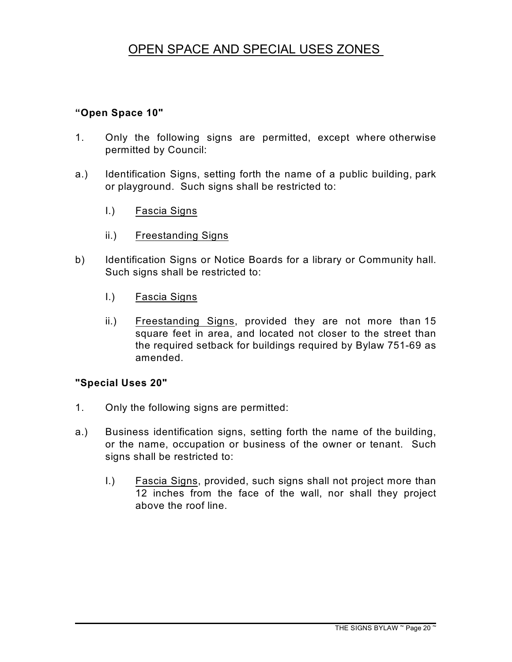# OPEN SPACE AND SPECIAL USES ZONES

#### **"Open Space 10"**

- 1. Only the following signs are permitted, except where otherwise permitted by Council:
- a.) Identification Signs, setting forth the name of a public building, park or playground. Such signs shall be restricted to:
	- I.) Fascia Signs
	- ii.) Freestanding Signs
- b) Identification Signs or Notice Boards for a library or Community hall. Such signs shall be restricted to:
	- I.) Fascia Signs
	- ii.) Freestanding Signs, provided they are not more than 15 square feet in area, and located not closer to the street than the required setback for buildings required by Bylaw 751-69 as amended.

#### **"Special Uses 20"**

- 1. Only the following signs are permitted:
- a.) Business identification signs, setting forth the name of the building, or the name, occupation or business of the owner or tenant. Such signs shall be restricted to:
	- I.) Fascia Signs, provided, such signs shall not project more than 12 inches from the face of the wall, nor shall they project above the roof line.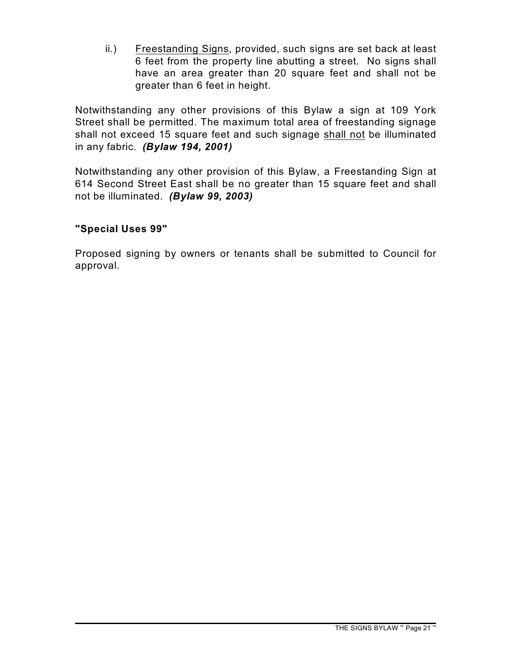ii.) Freestanding Signs, provided, such signs are set back at least 6 feet from the property line abutting a street. No signs shall have an area greater than 20 square feet and shall not be greater than 6 feet in height.

Notwithstanding any other provisions of this Bylaw a sign at 109 York Street shall be permitted. The maximum total area of freestanding signage shall not exceed 15 square feet and such signage shall not be illuminated in any fabric. *(Bylaw 194, 2001)*

Notwithstanding any other provision of this Bylaw, a Freestanding Sign at 614 Second Street East shall be no greater than 15 square feet and shall not be illuminated. *(Bylaw 99, 2003)*

#### **"Special Uses 99"**

Proposed signing by owners or tenants shall be submitted to Council for approval.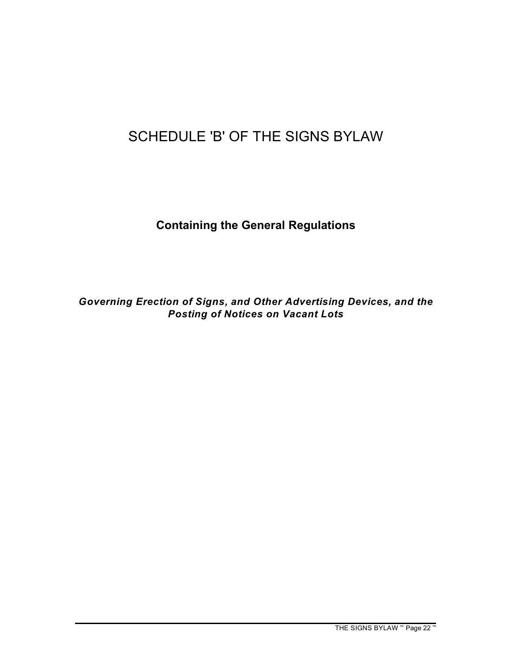# SCHEDULE 'B' OF THE SIGNS BYLAW

**Containing the General Regulations**

*Governing Erection of Signs, and Other Advertising Devices, and the Posting of Notices on Vacant Lots*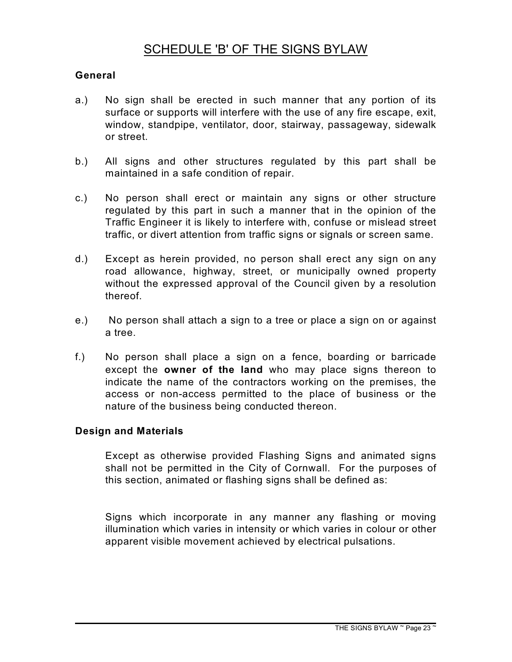# SCHEDULE 'B' OF THE SIGNS BYLAW

#### **General**

- a.) No sign shall be erected in such manner that any portion of its surface or supports will interfere with the use of any fire escape, exit, window, standpipe, ventilator, door, stairway, passageway, sidewalk or street.
- b.) All signs and other structures regulated by this part shall be maintained in a safe condition of repair.
- c.) No person shall erect or maintain any signs or other structure regulated by this part in such a manner that in the opinion of the Traffic Engineer it is likely to interfere with, confuse or mislead street traffic, or divert attention from traffic signs or signals or screen same.
- d.) Except as herein provided, no person shall erect any sign on any road allowance, highway, street, or municipally owned property without the expressed approval of the Council given by a resolution thereof.
- e.) No person shall attach a sign to a tree or place a sign on or against a tree.
- f.) No person shall place a sign on a fence, boarding or barricade except the **owner of the land** who may place signs thereon to indicate the name of the contractors working on the premises, the access or non-access permitted to the place of business or the nature of the business being conducted thereon.

#### **Design and Materials**

Except as otherwise provided Flashing Signs and animated signs shall not be permitted in the City of Cornwall. For the purposes of this section, animated or flashing signs shall be defined as:

Signs which incorporate in any manner any flashing or moving illumination which varies in intensity or which varies in colour or other apparent visible movement achieved by electrical pulsations.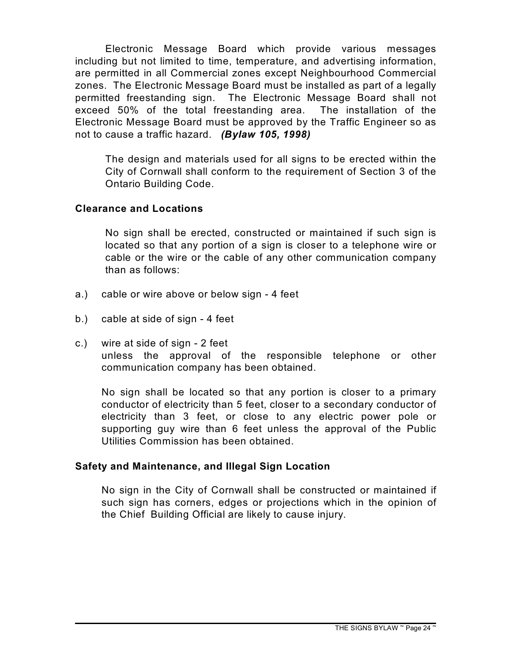Electronic Message Board which provide various messages including but not limited to time, temperature, and advertising information, are permitted in all Commercial zones except Neighbourhood Commercial zones. The Electronic Message Board must be installed as part of a legally permitted freestanding sign. The Electronic Message Board shall not exceed 50% of the total freestanding area. The installation of the Electronic Message Board must be approved by the Traffic Engineer so as not to cause a traffic hazard. *(Bylaw 105, 1998)*

The design and materials used for all signs to be erected within the City of Cornwall shall conform to the requirement of Section 3 of the Ontario Building Code.

#### **Clearance and Locations**

No sign shall be erected, constructed or maintained if such sign is located so that any portion of a sign is closer to a telephone wire or cable or the wire or the cable of any other communication company than as follows:

- a.) cable or wire above or below sign 4 feet
- b.) cable at side of sign 4 feet
- c.) wire at side of sign 2 feet unless the approval of the responsible telephone or other communication company has been obtained.

No sign shall be located so that any portion is closer to a primary conductor of electricity than 5 feet, closer to a secondary conductor of electricity than 3 feet, or close to any electric power pole or supporting guy wire than 6 feet unless the approval of the Public Utilities Commission has been obtained.

#### **Safety and Maintenance, and Illegal Sign Location**

No sign in the City of Cornwall shall be constructed or maintained if such sign has corners, edges or projections which in the opinion of the Chief Building Official are likely to cause injury.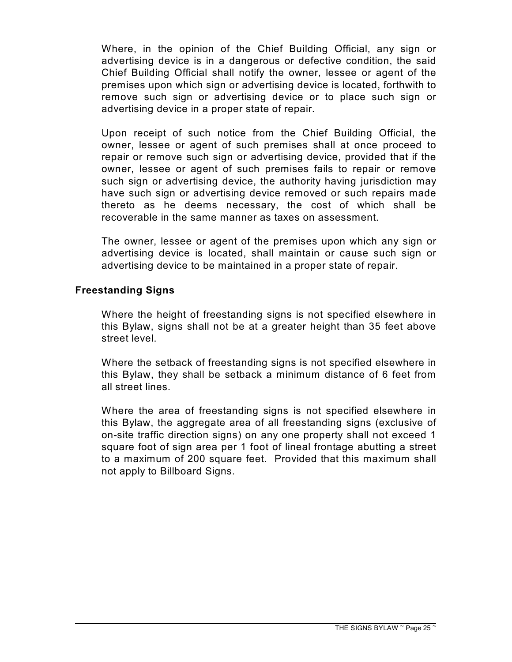Where, in the opinion of the Chief Building Official, any sign or advertising device is in a dangerous or defective condition, the said Chief Building Official shall notify the owner, lessee or agent of the premises upon which sign or advertising device is located, forthwith to remove such sign or advertising device or to place such sign or advertising device in a proper state of repair.

Upon receipt of such notice from the Chief Building Official, the owner, lessee or agent of such premises shall at once proceed to repair or remove such sign or advertising device, provided that if the owner, lessee or agent of such premises fails to repair or remove such sign or advertising device, the authority having jurisdiction may have such sign or advertising device removed or such repairs made thereto as he deems necessary, the cost of which shall be recoverable in the same manner as taxes on assessment.

The owner, lessee or agent of the premises upon which any sign or advertising device is located, shall maintain or cause such sign or advertising device to be maintained in a proper state of repair.

#### **Freestanding Signs**

Where the height of freestanding signs is not specified elsewhere in this Bylaw, signs shall not be at a greater height than 35 feet above street level.

Where the setback of freestanding signs is not specified elsewhere in this Bylaw, they shall be setback a minimum distance of 6 feet from all street lines.

Where the area of freestanding signs is not specified elsewhere in this Bylaw, the aggregate area of all freestanding signs (exclusive of on-site traffic direction signs) on any one property shall not exceed 1 square foot of sign area per 1 foot of lineal frontage abutting a street to a maximum of 200 square feet. Provided that this maximum shall not apply to Billboard Signs.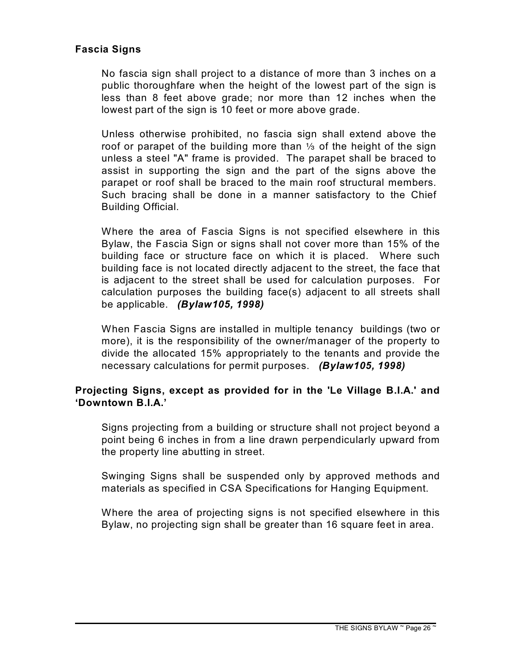#### **Fascia Signs**

No fascia sign shall project to a distance of more than 3 inches on a public thoroughfare when the height of the lowest part of the sign is less than 8 feet above grade; nor more than 12 inches when the lowest part of the sign is 10 feet or more above grade.

Unless otherwise prohibited, no fascia sign shall extend above the roof or parapet of the building more than  $\frac{1}{3}$  of the height of the sign unless a steel "A" frame is provided. The parapet shall be braced to assist in supporting the sign and the part of the signs above the parapet or roof shall be braced to the main roof structural members. Such bracing shall be done in a manner satisfactory to the Chief Building Official.

Where the area of Fascia Signs is not specified elsewhere in this Bylaw, the Fascia Sign or signs shall not cover more than 15% of the building face or structure face on which it is placed. Where such building face is not located directly adjacent to the street, the face that is adjacent to the street shall be used for calculation purposes. For calculation purposes the building face(s) adjacent to all streets shall be applicable. *(Bylaw105, 1998)*

When Fascia Signs are installed in multiple tenancy buildings (two or more), it is the responsibility of the owner/manager of the property to divide the allocated 15% appropriately to the tenants and provide the necessary calculations for permit purposes. *(Bylaw105, 1998)* 

#### **Projecting Signs, except as provided for in the 'Le Village B.I.A.' and 'Downtown B.I.A.'**

Signs projecting from a building or structure shall not project beyond a point being 6 inches in from a line drawn perpendicularly upward from the property line abutting in street.

Swinging Signs shall be suspended only by approved methods and materials as specified in CSA Specifications for Hanging Equipment.

Where the area of projecting signs is not specified elsewhere in this Bylaw, no projecting sign shall be greater than 16 square feet in area.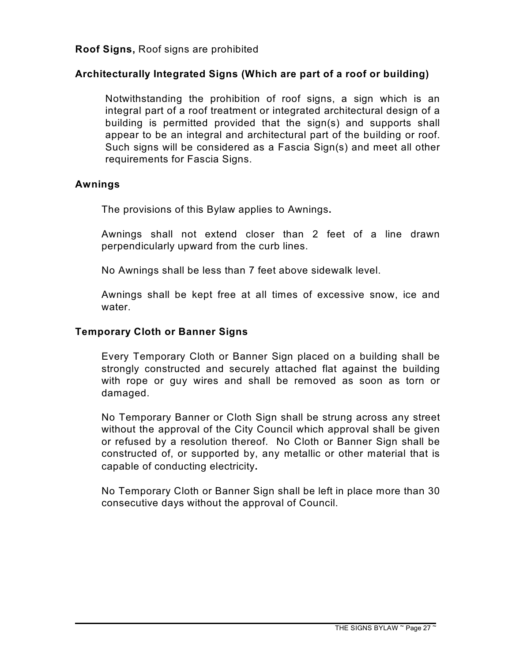#### **Architecturally Integrated Signs (Which are part of a roof or building)**

Notwithstanding the prohibition of roof signs, a sign which is an integral part of a roof treatment or integrated architectural design of a building is permitted provided that the sign(s) and supports shall appear to be an integral and architectural part of the building or roof. Such signs will be considered as a Fascia Sign(s) and meet all other requirements for Fascia Signs.

#### **Awnings**

The provisions of this Bylaw applies to Awnings**.**

Awnings shall not extend closer than 2 feet of a line drawn perpendicularly upward from the curb lines.

No Awnings shall be less than 7 feet above sidewalk level.

Awnings shall be kept free at all times of excessive snow, ice and water.

#### **Temporary Cloth or Banner Signs**

Every Temporary Cloth or Banner Sign placed on a building shall be strongly constructed and securely attached flat against the building with rope or guy wires and shall be removed as soon as torn or damaged.

No Temporary Banner or Cloth Sign shall be strung across any street without the approval of the City Council which approval shall be given or refused by a resolution thereof. No Cloth or Banner Sign shall be constructed of, or supported by, any metallic or other material that is capable of conducting electricity**.**

No Temporary Cloth or Banner Sign shall be left in place more than 30 consecutive days without the approval of Council.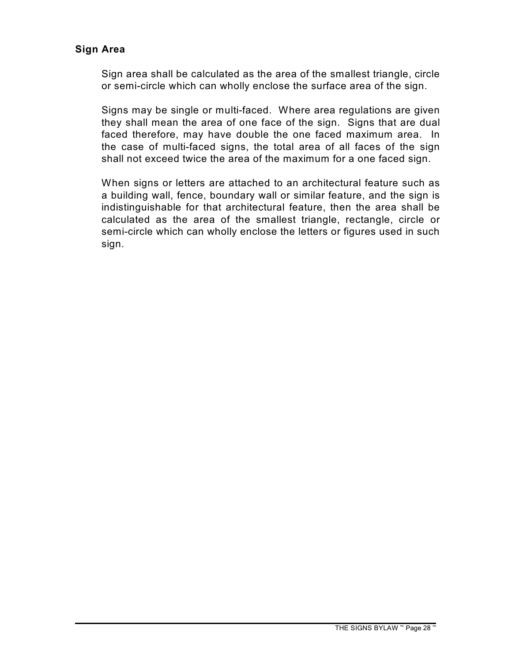#### **Sign Area**

Sign area shall be calculated as the area of the smallest triangle, circle or semi-circle which can wholly enclose the surface area of the sign.

Signs may be single or multi-faced. Where area regulations are given they shall mean the area of one face of the sign. Signs that are dual faced therefore, may have double the one faced maximum area. In the case of multi-faced signs, the total area of all faces of the sign shall not exceed twice the area of the maximum for a one faced sign.

When signs or letters are attached to an architectural feature such as a building wall, fence, boundary wall or similar feature, and the sign is indistinguishable for that architectural feature, then the area shall be calculated as the area of the smallest triangle, rectangle, circle or semi-circle which can wholly enclose the letters or figures used in such sign.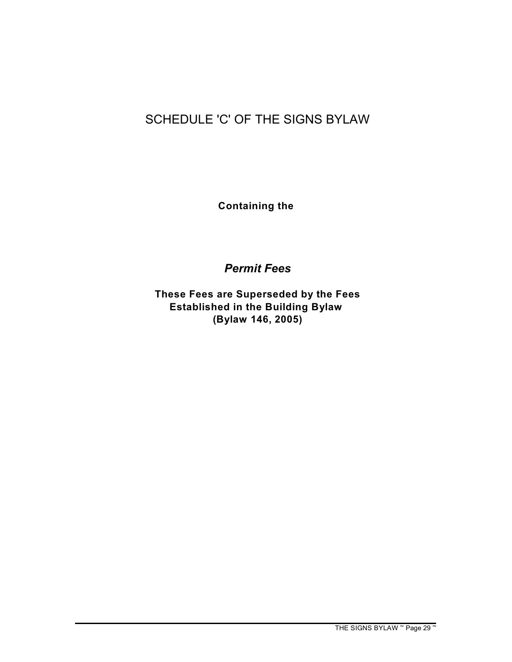# SCHEDULE 'C' OF THE SIGNS BYLAW

**Containing the** 

*Permit Fees*

**These Fees are Superseded by the Fees Established in the Building Bylaw (Bylaw 146, 2005)**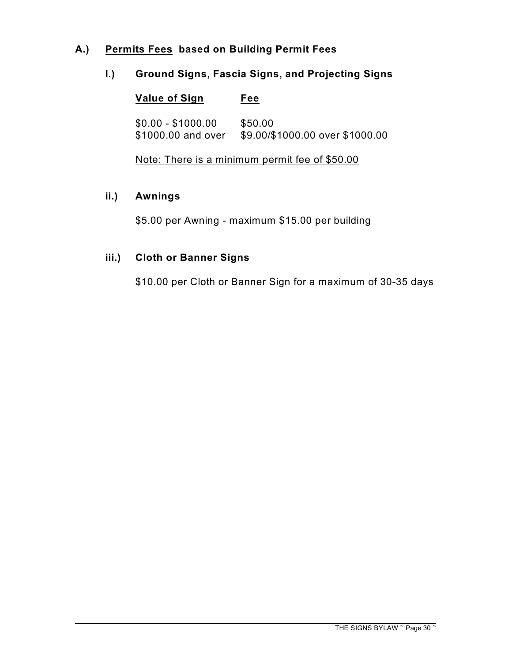#### **A.) Permits Fees based on Building Permit Fees**

#### **I.) Ground Signs, Fascia Signs, and Projecting Signs**

| <b>Value of Sign</b> | Fee                             |
|----------------------|---------------------------------|
| $$0.00 - $1000.00$   | \$50.00                         |
| \$1000.00 and over   | \$9.00/\$1000.00 over \$1000.00 |

Note: There is a minimum permit fee of \$50.00

#### **ii.) Awnings**

\$5.00 per Awning - maximum \$15.00 per building

#### **iii.) Cloth or Banner Signs**

\$10.00 per Cloth or Banner Sign for a maximum of 30-35 days